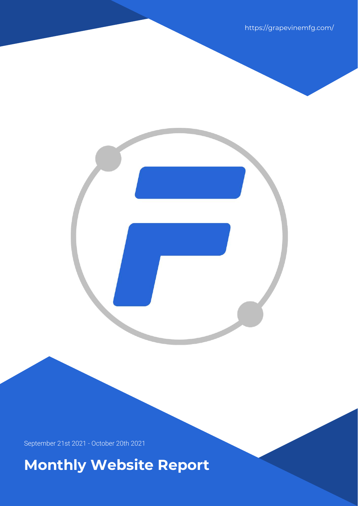https://grapevinemfg.com/

September 21st 2021 - October 20th 2021

**Monthly Website Report**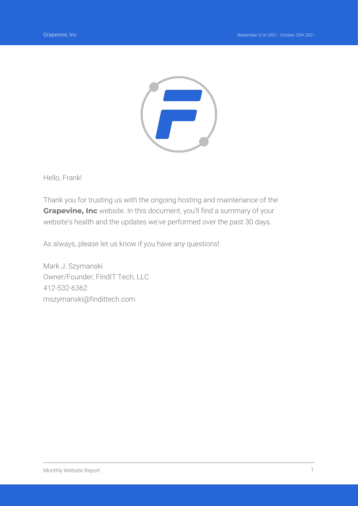

Hello, Frank!

Thank you for trusting us with the ongoing hosting and maintenance of the **Grapevine, Inc** website. In this document, you'll find a summary of your website's health and the updates we've performed over the past 30 days.

As always, please let us know if you have any questions!

Mark J. Szymanski Owner/Founder, FIndIT Tech, LLC 412-532-6362 mszymanski@findittech.com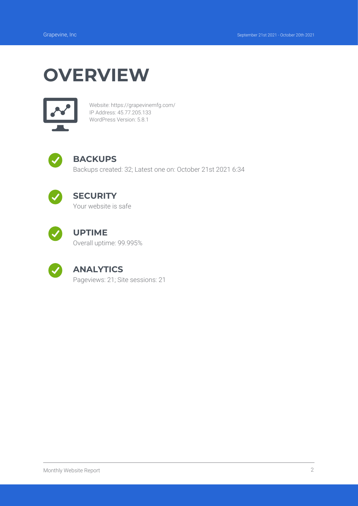# **OVERVIEW**



Website: https://grapevinemfg.com/ IP Address: 45.77.205.133 WordPress Version: 5.8.1



### **BACKUPS**

Backups created: 32; Latest one on: October 21st 2021 6:34



### **SECURITY**

Your website is safe



#### **UPTIME**

Overall uptime: 99.995%



#### **ANALYTICS**

Pageviews: 21; Site sessions: 21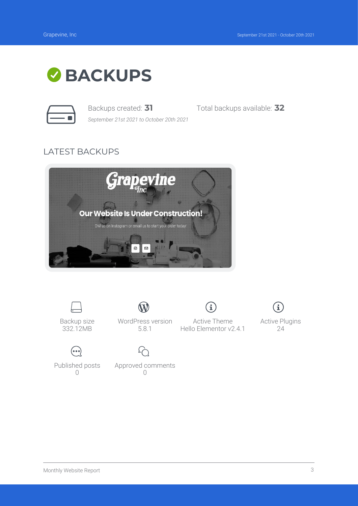



*September 21st 2021 to October 20th 2021*

Backups created: **31** Total backups available: **32**

## LATEST BACKUPS



![](_page_3_Picture_9.jpeg)

Backup size 332.12MB

 $(\bullet\bullet\bullet)$ Published posts  $\bigcap$ 

WordPress version 5.8.1

Approved comments  $\bigcap$ 

![](_page_3_Picture_13.jpeg)

Active Theme Hello Elementor v2.4.1

i

![](_page_3_Picture_15.jpeg)

Active Plugins 24

Monthly Website Report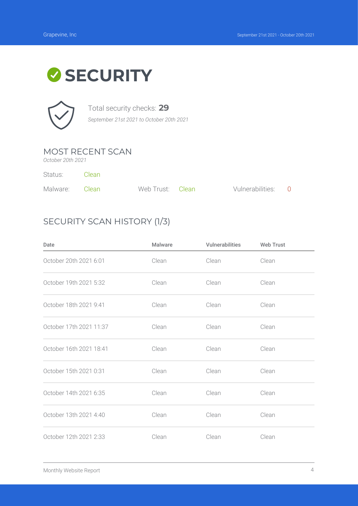# **SECURITY**

![](_page_4_Picture_3.jpeg)

Total security checks: **29** *September 21st 2021 to October 20th 2021*

MOST RECENT SCAN

*October 20th 2021*

Status: Clean

| Malware: Clean | Web Trust: Clean | Vulnerabilities: 0 |  |
|----------------|------------------|--------------------|--|

## SECURITY SCAN HISTORY (1/3)

| Date                    | <b>Malware</b> | <b>Vulnerabilities</b> | <b>Web Trust</b> |
|-------------------------|----------------|------------------------|------------------|
| October 20th 2021 6:01  | Clean          | Clean                  | Clean            |
| October 19th 2021 5:32  | Clean          | Clean                  | Clean            |
| October 18th 2021 9:41  | Clean          | Clean                  | Clean            |
| October 17th 2021 11:37 | Clean          | Clean                  | Clean            |
| October 16th 2021 18:41 | Clean          | Clean                  | Clean            |
| October 15th 2021 0:31  | Clean          | Clean                  | Clean            |
| October 14th 2021 6:35  | Clean          | Clean                  | Clean            |
| October 13th 2021 4:40  | Clean          | Clean                  | Clean            |
| October 12th 2021 2:33  | Clean          | Clean                  | Clean            |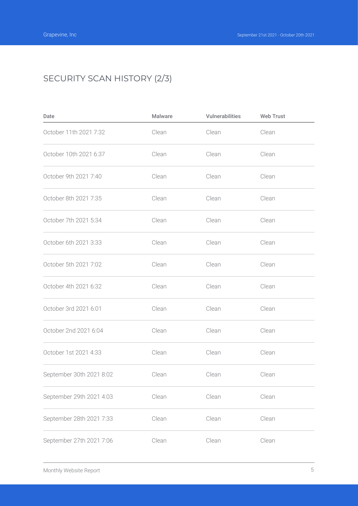# SECURITY SCAN HISTORY (2/3)

| Date                     | Malware | Vulnerabilities | <b>Web Trust</b> |  |
|--------------------------|---------|-----------------|------------------|--|
| October 11th 2021 7:32   | Clean   | Clean           | Clean            |  |
| October 10th 2021 6:37   | Clean   | Clean           | Clean            |  |
| October 9th 2021 7:40    | Clean   | Clean           | Clean            |  |
| October 8th 2021 7:35    | Clean   | Clean           | Clean            |  |
| October 7th 2021 5:34    | Clean   | Clean           | Clean            |  |
| October 6th 2021 3:33    | Clean   | Clean           | Clean            |  |
| October 5th 2021 7:02    | Clean   | Clean           | Clean            |  |
| October 4th 2021 6:32    | Clean   | Clean           | Clean            |  |
| October 3rd 2021 6:01    | Clean   | Clean           | Clean            |  |
| October 2nd 2021 6:04    | Clean   | Clean           | Clean            |  |
| October 1st 2021 4:33    | Clean   | Clean           | Clean            |  |
| September 30th 2021 8:02 | Clean   | Clean           | Clean            |  |
| September 29th 2021 4:03 | Clean   | Clean           | Clean            |  |
| September 28th 2021 7:33 | Clean   | Clean           | Clean            |  |
| September 27th 2021 7:06 | Clean   | Clean           | Clean            |  |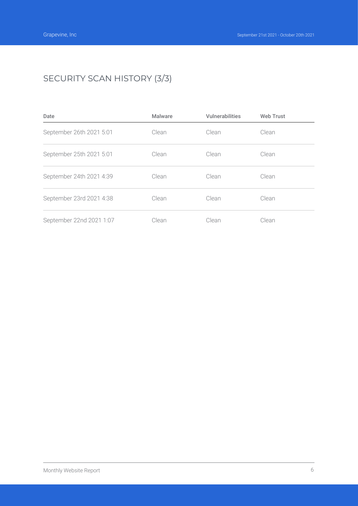# SECURITY SCAN HISTORY (3/3)

| Date                     | <b>Malware</b> | <b>Vulnerabilities</b> | <b>Web Trust</b> |
|--------------------------|----------------|------------------------|------------------|
| September 26th 2021 5:01 | Clean          | Clean                  | Clean            |
| September 25th 2021 5:01 | Clean          | Clean                  | Clean            |
| September 24th 2021 4:39 | Clean          | Clean                  | Clean            |
| September 23rd 2021 4:38 | Clean          | Clean                  | Clean            |
| September 22nd 2021 1:07 | Clean          | Clean                  | Clean            |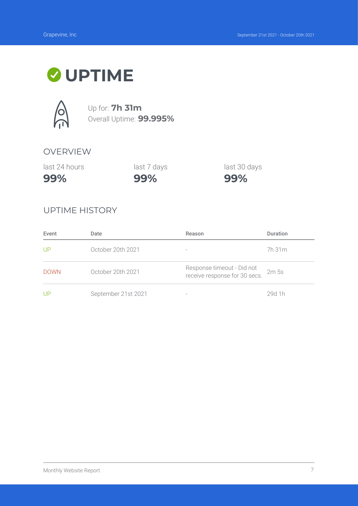# **UPTIME**

![](_page_7_Picture_3.jpeg)

Up for: **7h 31m** Overall Uptime: **99.995%**

#### OVERVIEW

last 24 hours

last 7 days

last 30 days

**99%**

**99%**

**99%**

#### UPTIME HISTORY

| Event       | Date                | Reason                                                      | <b>Duration</b>  |
|-------------|---------------------|-------------------------------------------------------------|------------------|
| UP          | October 20th 2021   | $\qquad \qquad$                                             | 7h 31 m          |
| <b>DOWN</b> | October 20th 2021   | Response timeout - Did not<br>receive response for 30 secs. | 2m <sub>5s</sub> |
| UP          | September 21st 2021 |                                                             | 29d 1h           |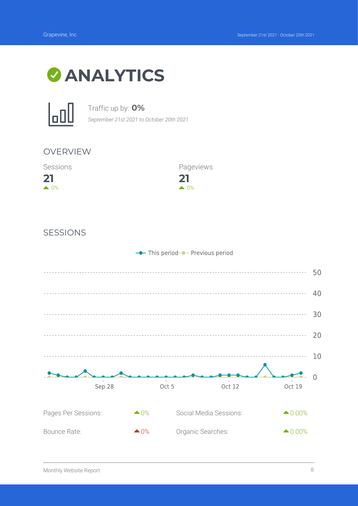![](_page_8_Picture_2.jpeg)

![](_page_8_Picture_3.jpeg)

Traffic up by: **0%**

*September 21st 2021 to October 20th 2021*

![](_page_8_Figure_6.jpeg)